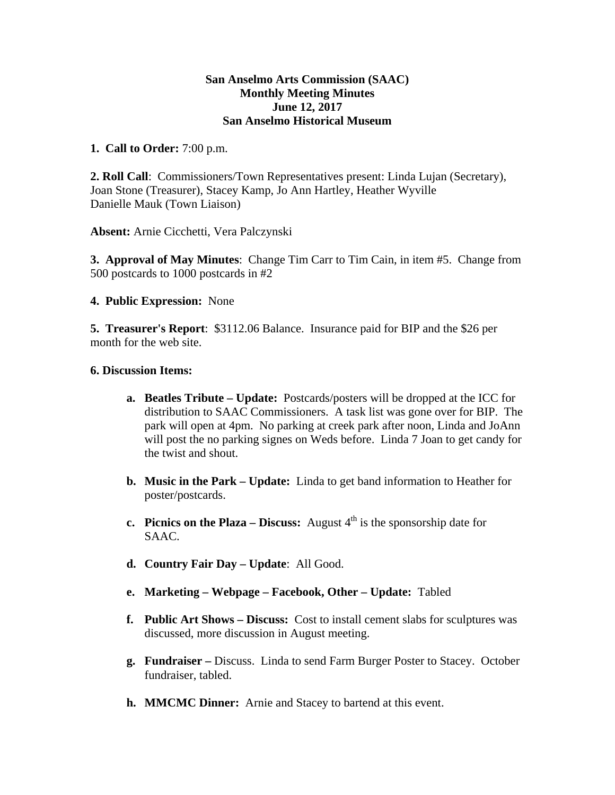### **San Anselmo Arts Commission (SAAC) Monthly Meeting Minutes June 12, 2017 San Anselmo Historical Museum**

## **1. Call to Order:** 7:00 p.m.

**2. Roll Call**: Commissioners/Town Representatives present: Linda Lujan (Secretary), Joan Stone (Treasurer), Stacey Kamp, Jo Ann Hartley, Heather Wyville Danielle Mauk (Town Liaison)

**Absent:** Arnie Cicchetti, Vera Palczynski

**3. Approval of May Minutes**: Change Tim Carr to Tim Cain, in item #5. Change from 500 postcards to 1000 postcards in #2

## **4. Public Expression:** None

**5. Treasurer's Report**: \$3112.06 Balance. Insurance paid for BIP and the \$26 per month for the web site.

### **6. Discussion Items:**

- **a. Beatles Tribute Update:** Postcards/posters will be dropped at the ICC for distribution to SAAC Commissioners. A task list was gone over for BIP. The park will open at 4pm. No parking at creek park after noon, Linda and JoAnn will post the no parking signes on Weds before. Linda 7 Joan to get candy for the twist and shout.
- **b. Music in the Park Update:** Linda to get band information to Heather for poster/postcards.
- **c. Picnics on the Plaza Discuss:** August  $4<sup>th</sup>$  is the sponsorship date for SAAC.
- **d. Country Fair Day Update**: All Good.
- **e. Marketing Webpage Facebook, Other Update:** Tabled
- **f. Public Art Shows Discuss:** Cost to install cement slabs for sculptures was discussed, more discussion in August meeting.
- **g. Fundraiser –** Discuss. Linda to send Farm Burger Poster to Stacey. October fundraiser, tabled.
- **h. MMCMC Dinner:** Arnie and Stacey to bartend at this event.